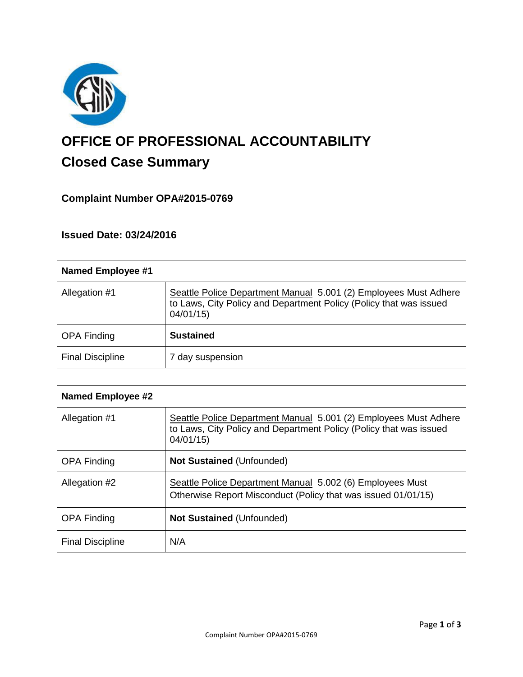

# **OFFICE OF PROFESSIONAL ACCOUNTABILITY Closed Case Summary**

# **Complaint Number OPA#2015-0769**

### **Issued Date: 03/24/2016**

| <b>Named Employee #1</b> |                                                                                                                                                    |
|--------------------------|----------------------------------------------------------------------------------------------------------------------------------------------------|
| Allegation #1            | Seattle Police Department Manual 5.001 (2) Employees Must Adhere<br>to Laws, City Policy and Department Policy (Policy that was issued<br>04/01/15 |
| <b>OPA Finding</b>       | <b>Sustained</b>                                                                                                                                   |
| <b>Final Discipline</b>  | 7 day suspension                                                                                                                                   |

| <b>Named Employee #2</b> |                                                                                                                                                    |
|--------------------------|----------------------------------------------------------------------------------------------------------------------------------------------------|
| Allegation #1            | Seattle Police Department Manual 5.001 (2) Employees Must Adhere<br>to Laws, City Policy and Department Policy (Policy that was issued<br>04/01/15 |
| <b>OPA Finding</b>       | <b>Not Sustained (Unfounded)</b>                                                                                                                   |
| Allegation #2            | Seattle Police Department Manual 5.002 (6) Employees Must<br>Otherwise Report Misconduct (Policy that was issued 01/01/15)                         |
| <b>OPA Finding</b>       | <b>Not Sustained (Unfounded)</b>                                                                                                                   |
| <b>Final Discipline</b>  | N/A                                                                                                                                                |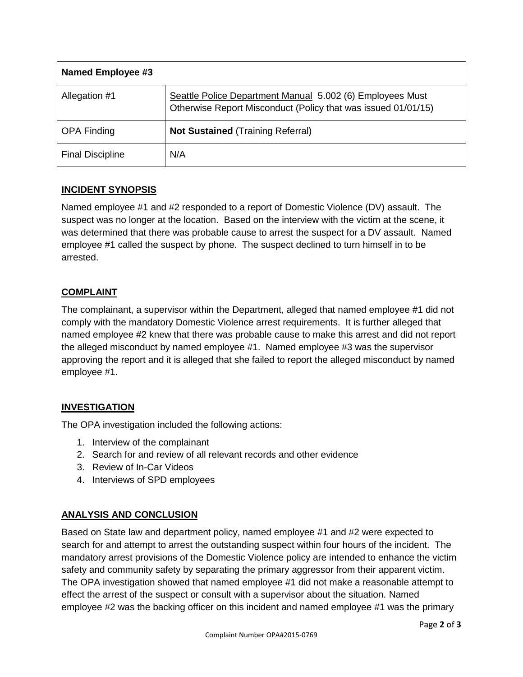| <b>Named Employee #3</b> |                                                                                                                            |
|--------------------------|----------------------------------------------------------------------------------------------------------------------------|
| Allegation #1            | Seattle Police Department Manual 5.002 (6) Employees Must<br>Otherwise Report Misconduct (Policy that was issued 01/01/15) |
| <b>OPA Finding</b>       | <b>Not Sustained (Training Referral)</b>                                                                                   |
| <b>Final Discipline</b>  | N/A                                                                                                                        |

## **INCIDENT SYNOPSIS**

Named employee #1 and #2 responded to a report of Domestic Violence (DV) assault. The suspect was no longer at the location. Based on the interview with the victim at the scene, it was determined that there was probable cause to arrest the suspect for a DV assault. Named employee #1 called the suspect by phone. The suspect declined to turn himself in to be arrested.

## **COMPLAINT**

The complainant, a supervisor within the Department, alleged that named employee #1 did not comply with the mandatory Domestic Violence arrest requirements. It is further alleged that named employee #2 knew that there was probable cause to make this arrest and did not report the alleged misconduct by named employee #1. Named employee #3 was the supervisor approving the report and it is alleged that she failed to report the alleged misconduct by named employee #1.

## **INVESTIGATION**

The OPA investigation included the following actions:

- 1. Interview of the complainant
- 2. Search for and review of all relevant records and other evidence
- 3. Review of In-Car Videos
- 4. Interviews of SPD employees

## **ANALYSIS AND CONCLUSION**

Based on State law and department policy, named employee #1 and #2 were expected to search for and attempt to arrest the outstanding suspect within four hours of the incident. The mandatory arrest provisions of the Domestic Violence policy are intended to enhance the victim safety and community safety by separating the primary aggressor from their apparent victim. The OPA investigation showed that named employee #1 did not make a reasonable attempt to effect the arrest of the suspect or consult with a supervisor about the situation. Named employee #2 was the backing officer on this incident and named employee #1 was the primary